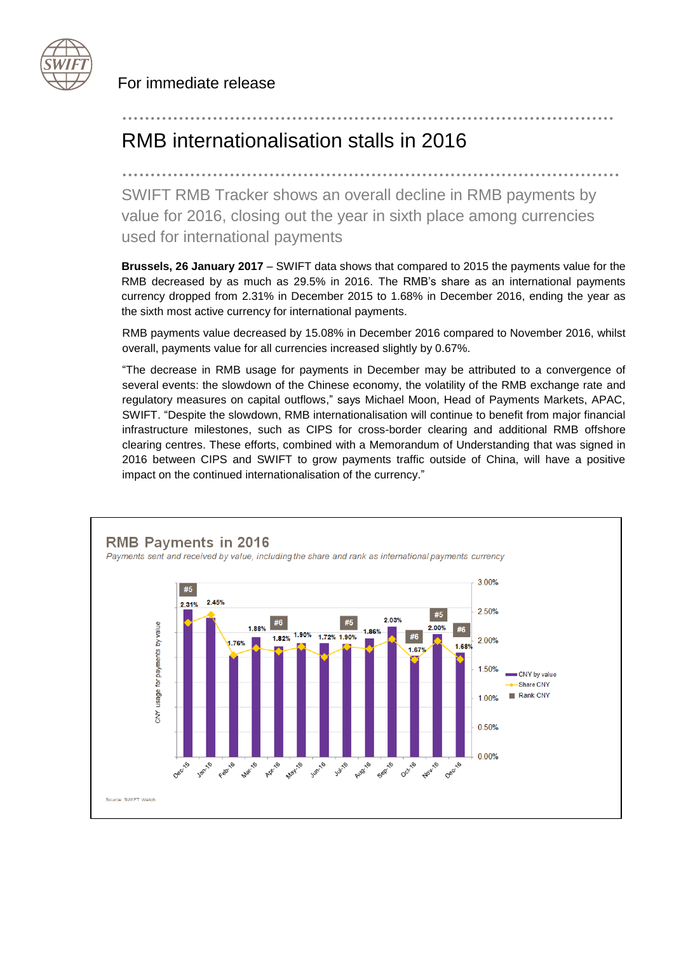

For immediate release

# RMB internationalisation stalls in 2016

........................................................................................ SWIFT RMB Tracker shows an overall decline in RMB payments by value for 2016, closing out the year in sixth place among currencies used for international payments

.......................................................................................

**Brussels, 26 January 2017** – SWIFT data shows that compared to 2015 the payments value for the RMB decreased by as much as 29.5% in 2016. The RMB's share as an international payments currency dropped from 2.31% in December 2015 to 1.68% in December 2016, ending the year as the sixth most active currency for international payments.

RMB payments value decreased by 15.08% in December 2016 compared to November 2016, whilst overall, payments value for all currencies increased slightly by 0.67%.

"The decrease in RMB usage for payments in December may be attributed to a convergence of several events: the slowdown of the Chinese economy, the volatility of the RMB exchange rate and regulatory measures on capital outflows," says Michael Moon, Head of Payments Markets, APAC, SWIFT. "Despite the slowdown, RMB internationalisation will continue to benefit from major financial infrastructure milestones, such as CIPS for cross-border clearing and additional RMB offshore clearing centres. These efforts, combined with a Memorandum of Understanding that was signed in 2016 between CIPS and SWIFT to grow payments traffic outside of China, will have a positive impact on the continued internationalisation of the currency."

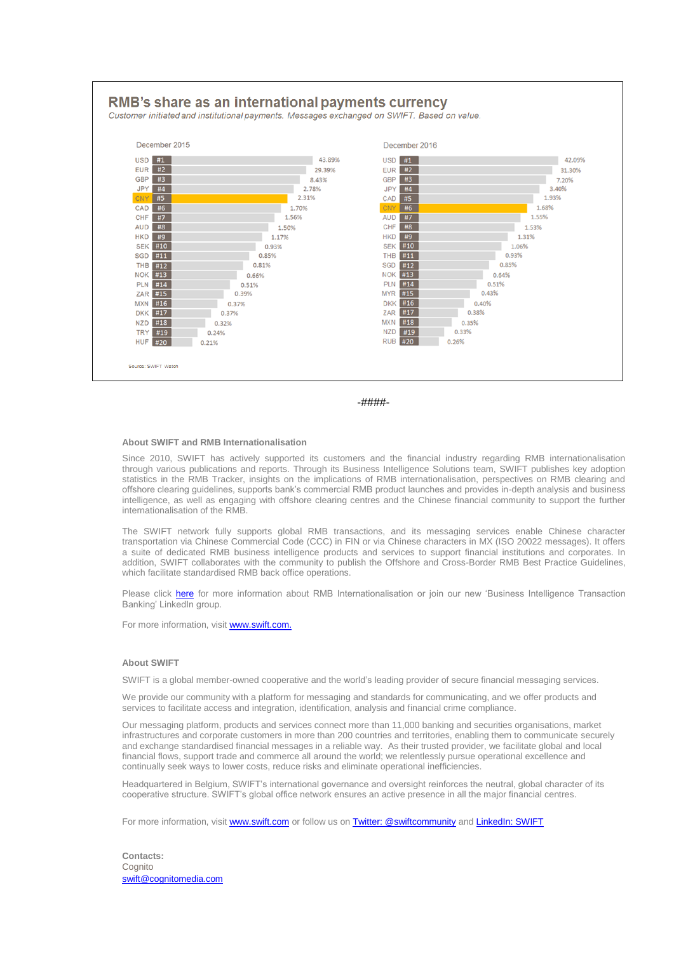



#### **About SWIFT and RMB Internationalisation**

Since 2010, SWIFT has actively supported its customers and the financial industry regarding RMB internationalisation through various publications and reports. Through its Business Intelligence Solutions team, SWIFT publishes key adoption statistics in the RMB Tracker, insights on the implications of RMB internationalisation, perspectives on RMB clearing and offshore clearing guidelines, supports bank's commercial RMB product launches and provides in-depth analysis and business intelligence, as well as engaging with offshore clearing centres and the Chinese financial community to support the further internationalisation of the RMB.

The SWIFT network fully supports global RMB transactions, and its messaging services enable Chinese character transportation via Chinese Commercial Code (CCC) in FIN or via Chinese characters in MX (ISO 20022 messages). It offers a suite of dedicated RMB business intelligence products and services to support financial institutions and corporates. In addition, SWIFT collaborates with the community to publish the Offshore and Cross-Border RMB Best Practice Guidelines, which facilitate standardised RMB back office operations.

Please click [here](http://www.swift.com/products/renminbi/overview) for more information about RMB Internationalisation or join our new 'Business Intelligence Transaction Banking' LinkedIn group.

For more information, visi[t www.swift.com.](http://www.swift.com/)

#### **About SWIFT**

SWIFT is a global member-owned cooperative and the world's leading provider of secure financial messaging services.

We provide our community with a platform for messaging and standards for communicating, and we offer products and services to facilitate access and integration, identification, analysis and financial crime compliance.

Our messaging platform, products and services connect more than 11,000 banking and securities organisations, market infrastructures and corporate customers in more than 200 countries and territories, enabling them to communicate securely and exchange standardised financial messages in a reliable way. As their trusted provider, we facilitate global and local financial flows, support trade and commerce all around the world; we relentlessly pursue operational excellence and continually seek ways to lower costs, reduce risks and eliminate operational inefficiencies.

Headquartered in Belgium, SWIFT's international governance and oversight reinforces the neutral, global character of its cooperative structure. SWIFT's global office network ensures an active presence in all the major financial centres.

For more information, visi[t www.swift.com](http://www.swift.com/) or follow us o[n Twitter: @swiftcommunity](https://twitter.com/swiftcommunity) an[d LinkedIn: SWIFT](http://www.linkedin.com/company/swift)

**Contacts:**  Cognito [swift@cognitomedia.com](mailto:swift@cognitomedia.com)